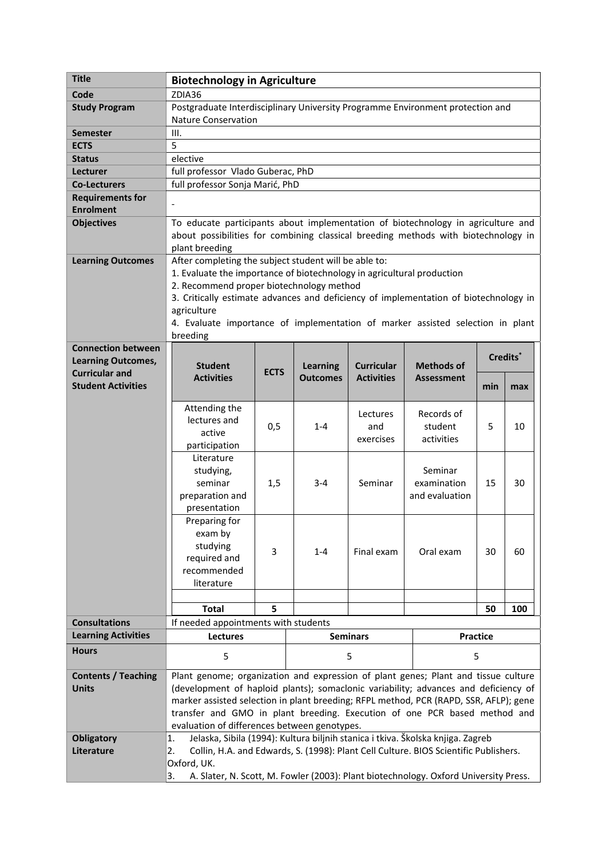| <b>Title</b>               | <b>Biotechnology in Agriculture</b>                                                                                                                                                      |             |                 |                   |                   |     |                      |  |
|----------------------------|------------------------------------------------------------------------------------------------------------------------------------------------------------------------------------------|-------------|-----------------|-------------------|-------------------|-----|----------------------|--|
| Code                       | ZDIA36                                                                                                                                                                                   |             |                 |                   |                   |     |                      |  |
| <b>Study Program</b>       | Postgraduate Interdisciplinary University Programme Environment protection and                                                                                                           |             |                 |                   |                   |     |                      |  |
|                            | <b>Nature Conservation</b>                                                                                                                                                               |             |                 |                   |                   |     |                      |  |
| <b>Semester</b>            | III.                                                                                                                                                                                     |             |                 |                   |                   |     |                      |  |
| <b>ECTS</b>                | 5                                                                                                                                                                                        |             |                 |                   |                   |     |                      |  |
| <b>Status</b>              | elective                                                                                                                                                                                 |             |                 |                   |                   |     |                      |  |
| Lecturer                   | full professor Vlado Guberac, PhD                                                                                                                                                        |             |                 |                   |                   |     |                      |  |
| <b>Co-Lecturers</b>        | full professor Sonja Marić, PhD                                                                                                                                                          |             |                 |                   |                   |     |                      |  |
| <b>Requirements for</b>    |                                                                                                                                                                                          |             |                 |                   |                   |     |                      |  |
| <b>Enrolment</b>           |                                                                                                                                                                                          |             |                 |                   |                   |     |                      |  |
| <b>Objectives</b>          | To educate participants about implementation of biotechnology in agriculture and<br>about possibilities for combining classical breeding methods with biotechnology in<br>plant breeding |             |                 |                   |                   |     |                      |  |
| <b>Learning Outcomes</b>   | After completing the subject student will be able to:<br>1. Evaluate the importance of biotechnology in agricultural production                                                          |             |                 |                   |                   |     |                      |  |
|                            | 2. Recommend proper biotechnology method                                                                                                                                                 |             |                 |                   |                   |     |                      |  |
|                            | 3. Critically estimate advances and deficiency of implementation of biotechnology in                                                                                                     |             |                 |                   |                   |     |                      |  |
|                            | agriculture                                                                                                                                                                              |             |                 |                   |                   |     |                      |  |
|                            | 4. Evaluate importance of implementation of marker assisted selection in plant                                                                                                           |             |                 |                   |                   |     |                      |  |
|                            | breeding                                                                                                                                                                                 |             |                 |                   |                   |     |                      |  |
| <b>Connection between</b>  |                                                                                                                                                                                          |             |                 |                   |                   |     | Credits <sup>*</sup> |  |
| <b>Learning Outcomes,</b>  | <b>Student</b>                                                                                                                                                                           |             | <b>Learning</b> | <b>Curricular</b> | <b>Methods of</b> |     |                      |  |
| <b>Curricular and</b>      | <b>Activities</b>                                                                                                                                                                        | <b>ECTS</b> | <b>Outcomes</b> | <b>Activities</b> | <b>Assessment</b> |     |                      |  |
| <b>Student Activities</b>  |                                                                                                                                                                                          |             |                 |                   |                   | min | max                  |  |
|                            | Attending the                                                                                                                                                                            |             |                 |                   |                   |     |                      |  |
|                            | lectures and                                                                                                                                                                             |             |                 | Lectures          | Records of        |     |                      |  |
|                            | active                                                                                                                                                                                   | 0,5         | $1 - 4$         | and               | student           | 5   | 10                   |  |
|                            | participation                                                                                                                                                                            |             |                 | exercises         | activities        |     |                      |  |
|                            | Literature                                                                                                                                                                               |             |                 |                   |                   |     |                      |  |
|                            | studying,                                                                                                                                                                                |             |                 |                   | Seminar           |     |                      |  |
|                            | seminar                                                                                                                                                                                  | 1,5         | $3 - 4$         | Seminar           | examination       | 15  | 30                   |  |
|                            | preparation and                                                                                                                                                                          |             |                 |                   | and evaluation    |     |                      |  |
|                            | presentation                                                                                                                                                                             |             |                 |                   |                   |     |                      |  |
|                            | Preparing for                                                                                                                                                                            |             |                 |                   |                   |     |                      |  |
|                            | exam by                                                                                                                                                                                  |             |                 |                   |                   |     |                      |  |
|                            | studying                                                                                                                                                                                 | 3           | $1 - 4$         | Final exam        | Oral exam         | 30  | 60                   |  |
|                            | required and                                                                                                                                                                             |             |                 |                   |                   |     |                      |  |
|                            | recommended                                                                                                                                                                              |             |                 |                   |                   |     |                      |  |
|                            | literature                                                                                                                                                                               |             |                 |                   |                   |     |                      |  |
|                            | <b>Total</b>                                                                                                                                                                             | 5           |                 |                   |                   | 50  | 100                  |  |
| <b>Consultations</b>       |                                                                                                                                                                                          |             |                 |                   |                   |     |                      |  |
| <b>Learning Activities</b> | If needed appointments with students<br>Lectures<br><b>Seminars</b><br>Practice                                                                                                          |             |                 |                   |                   |     |                      |  |
| <b>Hours</b>               |                                                                                                                                                                                          |             |                 |                   |                   |     |                      |  |
|                            | 5                                                                                                                                                                                        |             | 5               |                   | 5                 |     |                      |  |
| <b>Contents / Teaching</b> | Plant genome; organization and expression of plant genes; Plant and tissue culture                                                                                                       |             |                 |                   |                   |     |                      |  |
| <b>Units</b>               | (development of haploid plants); somaclonic variability; advances and deficiency of                                                                                                      |             |                 |                   |                   |     |                      |  |
|                            | marker assisted selection in plant breeding; RFPL method, PCR (RAPD, SSR, AFLP); gene                                                                                                    |             |                 |                   |                   |     |                      |  |
|                            | transfer and GMO in plant breeding. Execution of one PCR based method and                                                                                                                |             |                 |                   |                   |     |                      |  |
|                            | evaluation of differences between genotypes.                                                                                                                                             |             |                 |                   |                   |     |                      |  |
| <b>Obligatory</b>          | Jelaska, Sibila (1994): Kultura biljnih stanica i tkiva. Školska knjiga. Zagreb<br>1.                                                                                                    |             |                 |                   |                   |     |                      |  |
| Literature                 | Collin, H.A. and Edwards, S. (1998): Plant Cell Culture. BIOS Scientific Publishers.<br>2.                                                                                               |             |                 |                   |                   |     |                      |  |
|                            | Oxford, UK.<br>A. Slater, N. Scott, M. Fowler (2003): Plant biotechnology. Oxford University Press.                                                                                      |             |                 |                   |                   |     |                      |  |
|                            | 3.                                                                                                                                                                                       |             |                 |                   |                   |     |                      |  |